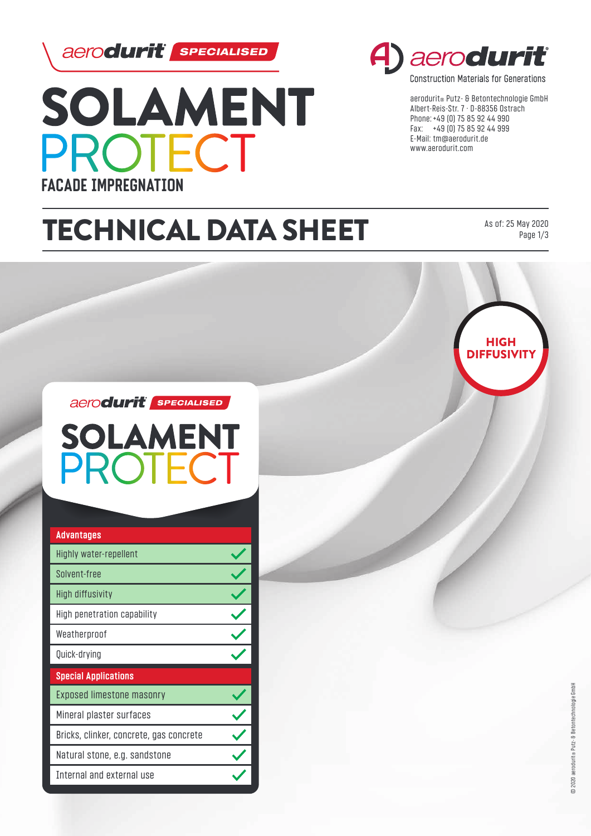

**PROTECT** 

SOLAMENT

**FACADE IMPREGNATION**



**Construction Materials for Generations** 

aerodurit® Putz- & Betontechnologie GmbH Albert-Reis-Str. 7 · D-88356 Ostrach Phone: +49 (0) 75 85 92 44 990 Fax: +49 (0) 75 85 92 44 999 E-Mail: tm@aerodurit.de www.aerodurit.com

# TECHNICAL DATA SHEET

As of: 25 May 2020

Page 1/3



aerodurit sPECIALISED

**SOLAMENT** ROTECT

| <b>Advantages</b>                       |  |
|-----------------------------------------|--|
| Highly water-repellent                  |  |
| Solvent-free                            |  |
| High diffusivity                        |  |
| High penetration capability             |  |
| Weatherproof                            |  |
| Quick-drying                            |  |
| <b>Special Applications</b>             |  |
| Exposed limestone masonry               |  |
| Mineral plaster surfaces                |  |
| Bricks, clinker, concrete, gas concrete |  |
| Natural stone, e.g. sandstone           |  |
| Internal and external use               |  |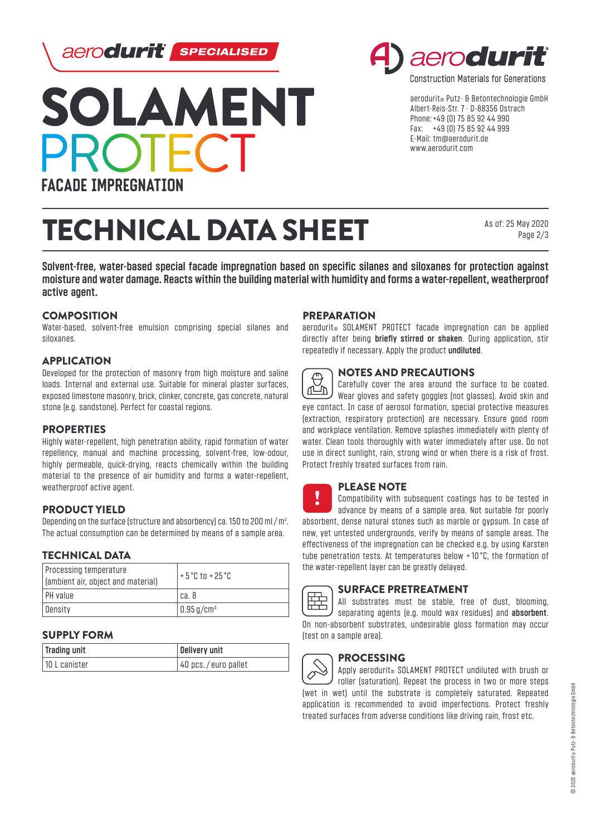



TECHNICAL DATA SHEET

# aeroduri

**Construction Materials for Generations** 

aerodurit® Putz- & Betontechnologie GmbH Albert-Reis-Str. 7 · D-88356 Ostrach Phone: +49 (0) 75 85 92 44 990 Fax: +49 (0) 75 85 92 44 999 E-Mail: tm@aerodurit.de www.aerodurit.com

> As of: 25 May 2020 Page 2/3

**Solvent-free, water-based special facade impregnation based on specific silanes and siloxanes for protection against moisture and water damage. Reacts within the building material with humidity and forms a water-repellent, weatherproof active agent.**

### **COMPOSITION**

Water-based, solvent-free emulsion comprising special silanes and siloxanes.

# APPLICATION

Developed for the protection of masonry from high moisture and saline loads. Internal and external use. Suitable for mineral plaster surfaces, exposed limestone masonry, brick, clinker, concrete, gas concrete, natural stone (e.g. sandstone). Perfect for coastal regions.

# **PROPERTIES**

Highly water-repellent, high penetration ability, rapid formation of water repellency, manual and machine processing, solvent-free, low-odour, highly permeable, quick-drying, reacts chemically within the building material to the presence of air humidity and forms a water-repellent, weatherproof active agent.

#### PRODUCT YIELD

Depending on the surface (structure and absorbency) ca. 150 to 200 ml/m². The actual consumption can be determined by means of a sample area.

#### TECHNICAL DATA

| Processing temperature<br>(ambient air, object and material) | $+5^{\circ}$ C to +25 $^{\circ}$ C |
|--------------------------------------------------------------|------------------------------------|
| I PH value                                                   | l ca. 8                            |
| Density                                                      | $\vert$ 0.95 g/cm <sup>3</sup>     |

#### SUPPLY FORM

| Trading unit  | Delivery unit       |
|---------------|---------------------|
| 10 L canister | 40 pcs./euro pallet |

#### **PREPARATION**

aerodurit<sup>®</sup> SOLAMENT PROTECT facade impregnation can be applied directly after being **briefly stirred or shaken**. During application, stir repeatedly if necessary. Apply the product **undiluted**.



#### NOTES AND PRECAUTIONS

Carefully cover the area around the surface to be coated. ΔĚ Wear gloves and safety goggles (not glasses). Avoid skin and eye contact. In case of aerosol formation, special protective measures (extraction, respiratory protection) are necessary. Ensure good room and workplace ventilation. Remove splashes immediately with plenty of water. Clean tools thoroughly with water immediately after use. Do not use in direct sunlight, rain, strong wind or when there is a risk of frost. Protect freshly treated surfaces from rain.



# PLEASE NOTE

!<br>• Compatibility with subsequent coatings has to be tested in advance by means of a sample area. Not suitable for poorly absorbent, dense natural stones such as marble or gypsum. In case of new, yet untested undergrounds, verify by means of sample areas. The effectiveness of the impregnation can be checked e.g. by using Karsten tube penetration tests. At temperatures below + 10 °C, the formation of the water-repellent layer can be greatly delayed.

# SURFACE PRETREATMENT

All substrates must be stable, free of dust, blooming, separating agents (e.g. mould wax residues) and **absorbent**. On non-absorbent substrates, undesirable gloss formation may occur (test on a sample area).

# **PROCESSING**

Apply aerodurit® SOLAMENT PROTECT undiluted with brush or Ó roller (saturation). Repeat the process in two or more steps (wet in wet) until the substrate is completely saturated. Repeated application is recommended to avoid imperfections. Protect freshly treated surfaces from adverse conditions like driving rain, frost etc.